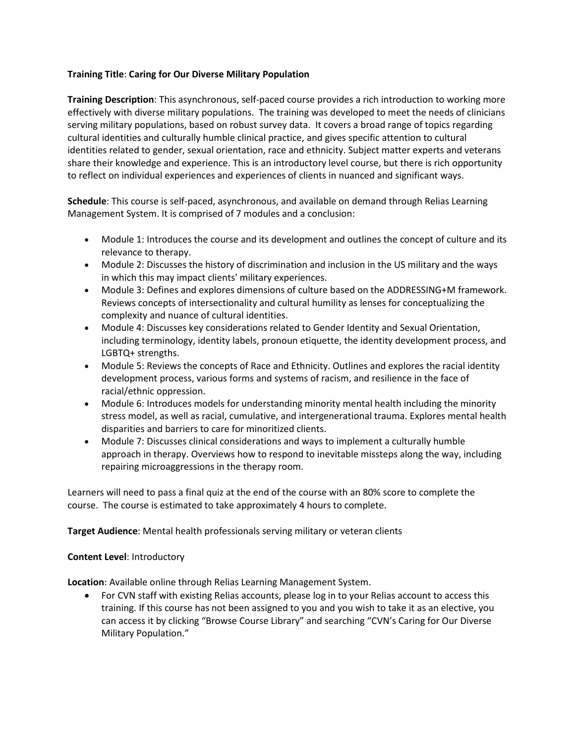## **Training Title**: **Caring for Our Diverse Military Population**

**Training Description**: This asynchronous, self-paced course provides a rich introduction to working more effectively with diverse military populations. The training was developed to meet the needs of clinicians serving military populations, based on robust survey data. It covers a broad range of topics regarding cultural identities and culturally humble clinical practice, and gives specific attention to cultural identities related to gender, sexual orientation, race and ethnicity. Subject matter experts and veterans share their knowledge and experience. This is an introductory level course, but there is rich opportunity to reflect on individual experiences and experiences of clients in nuanced and significant ways.

**Schedule**: This course is self-paced, asynchronous, and available on demand through Relias Learning Management System. It is comprised of 7 modules and a conclusion:

- Module 1: Introduces the course and its development and outlines the concept of culture and its relevance to therapy.
- Module 2: Discusses the history of discrimination and inclusion in the US military and the ways in which this may impact clients' military experiences.
- Module 3: Defines and explores dimensions of culture based on the ADDRESSING+M framework. Reviews concepts of intersectionality and cultural humility as lenses for conceptualizing the complexity and nuance of cultural identities.
- Module 4: Discusses key considerations related to Gender Identity and Sexual Orientation, including terminology, identity labels, pronoun etiquette, the identity development process, and LGBTQ+ strengths.
- Module 5: Reviews the concepts of Race and Ethnicity. Outlines and explores the racial identity development process, various forms and systems of racism, and resilience in the face of racial/ethnic oppression.
- Module 6: Introduces models for understanding minority mental health including the minority stress model, as well as racial, cumulative, and intergenerational trauma. Explores mental health disparities and barriers to care for minoritized clients.
- Module 7: Discusses clinical considerations and ways to implement a culturally humble approach in therapy. Overviews how to respond to inevitable missteps along the way, including repairing microaggressions in the therapy room.

Learners will need to pass a final quiz at the end of the course with an 80% score to complete the course. The course is estimated to take approximately 4 hours to complete.

**Target Audience**: Mental health professionals serving military or veteran clients

## **Content Level**: Introductory

**Location**: Available online through Relias Learning Management System.

• For CVN staff with existing Relias accounts, please log in to your Relias account to access this training. If this course has not been assigned to you and you wish to take it as an elective, you can access it by clicking "Browse Course Library" and searching "CVN's Caring for Our Diverse Military Population."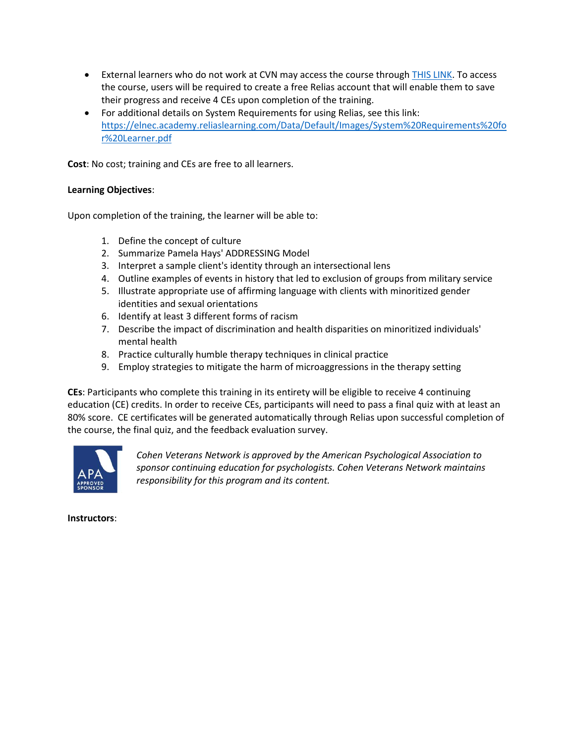- External learners who do not work at CVN may access the course through [THIS LINK.](https://cvn.training.reliaslearning.com/) To access the course, users will be required to create a free Relias account that will enable them to save their progress and receive 4 CEs upon completion of the training.
- For additional details on System Requirements for using Relias, see this link: [https://elnec.academy.reliaslearning.com/Data/Default/Images/System%20Requirements%20fo](https://elnec.academy.reliaslearning.com/Data/Default/Images/System%20Requirements%20for%20Learner.pdf) [r%20Learner.pdf](https://elnec.academy.reliaslearning.com/Data/Default/Images/System%20Requirements%20for%20Learner.pdf)

**Cost**: No cost; training and CEs are free to all learners.

## **Learning Objectives**:

Upon completion of the training, the learner will be able to:

- 1. Define the concept of culture
- 2. Summarize Pamela Hays' ADDRESSING Model
- 3. Interpret a sample client's identity through an intersectional lens
- 4. Outline examples of events in history that led to exclusion of groups from military service
- 5. Illustrate appropriate use of affirming language with clients with minoritized gender identities and sexual orientations
- 6. Identify at least 3 different forms of racism
- 7. Describe the impact of discrimination and health disparities on minoritized individuals' mental health
- 8. Practice culturally humble therapy techniques in clinical practice
- 9. Employ strategies to mitigate the harm of microaggressions in the therapy setting

**CEs**: Participants who complete this training in its entirety will be eligible to receive 4 continuing education (CE) credits. In order to receive CEs, participants will need to pass a final quiz with at least an 80% score. CE certificates will be generated automatically through Relias upon successful completion of the course, the final quiz, and the feedback evaluation survey.



*Cohen Veterans Network is approved by the American Psychological Association to sponsor continuing education for psychologists. Cohen Veterans Network maintains responsibility for this program and its content.*

**Instructors**: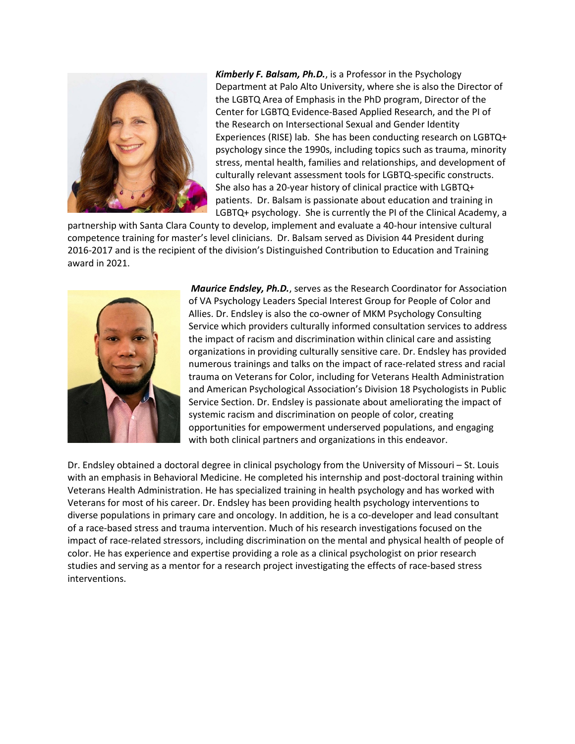

*Kimberly F. Balsam, Ph.D.*, is a Professor in the Psychology Department at Palo Alto University, where she is also the Director of the LGBTQ Area of Emphasis in the PhD program, Director of the Center for LGBTQ Evidence-Based Applied Research, and the PI of the Research on Intersectional Sexual and Gender Identity Experiences (RISE) lab. She has been conducting research on LGBTQ+ psychology since the 1990s, including topics such as trauma, minority stress, mental health, families and relationships, and development of culturally relevant assessment tools for LGBTQ-specific constructs. She also has a 20-year history of clinical practice with LGBTQ+ patients. Dr. Balsam is passionate about education and training in LGBTQ+ psychology. She is currently the PI of the Clinical Academy, a

partnership with Santa Clara County to develop, implement and evaluate a 40-hour intensive cultural competence training for master's level clinicians. Dr. Balsam served as Division 44 President during 2016-2017 and is the recipient of the division's Distinguished Contribution to Education and Training award in 2021.



*Maurice Endsley, Ph.D.*, serves as the Research Coordinator for Association of VA Psychology Leaders Special Interest Group for People of Color and Allies. Dr. Endsley is also the co-owner of MKM Psychology Consulting Service which providers culturally informed consultation services to address the impact of racism and discrimination within clinical care and assisting organizations in providing culturally sensitive care. Dr. Endsley has provided numerous trainings and talks on the impact of race-related stress and racial trauma on Veterans for Color, including for Veterans Health Administration and American Psychological Association's Division 18 Psychologists in Public Service Section. Dr. Endsley is passionate about ameliorating the impact of systemic racism and discrimination on people of color, creating opportunities for empowerment underserved populations, and engaging with both clinical partners and organizations in this endeavor.

Dr. Endsley obtained a doctoral degree in clinical psychology from the University of Missouri – St. Louis with an emphasis in Behavioral Medicine. He completed his internship and post-doctoral training within Veterans Health Administration. He has specialized training in health psychology and has worked with Veterans for most of his career. Dr. Endsley has been providing health psychology interventions to diverse populations in primary care and oncology. In addition, he is a co-developer and lead consultant of a race-based stress and trauma intervention. Much of his research investigations focused on the impact of race-related stressors, including discrimination on the mental and physical health of people of color. He has experience and expertise providing a role as a clinical psychologist on prior research studies and serving as a mentor for a research project investigating the effects of race-based stress interventions.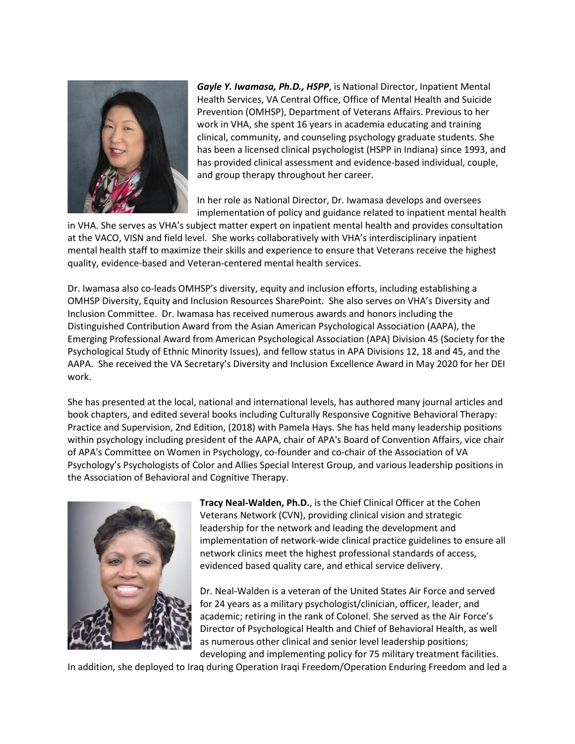

*Gayle Y. Iwamasa, Ph.D., HSPP*, is National Director, Inpatient Mental Health Services, VA Central Office, Office of Mental Health and Suicide Prevention (OMHSP), Department of Veterans Affairs. Previous to her work in VHA, she spent 16 years in academia educating and training clinical, community, and counseling psychology graduate students. She has been a licensed clinical psychologist (HSPP in Indiana) since 1993, and has provided clinical assessment and evidence-based individual, couple, and group therapy throughout her career.

In her role as National Director, Dr. Iwamasa develops and oversees implementation of policy and guidance related to inpatient mental health

in VHA. She serves as VHA's subject matter expert on inpatient mental health and provides consultation at the VACO, VISN and field level. She works collaboratively with VHA's interdisciplinary inpatient mental health staff to maximize their skills and experience to ensure that Veterans receive the highest quality, evidence-based and Veteran-centered mental health services.

Dr. Iwamasa also co-leads OMHSP's diversity, equity and inclusion efforts, including establishing a OMHSP Diversity, Equity and Inclusion Resources SharePoint. She also serves on VHA's Diversity and Inclusion Committee. Dr. Iwamasa has received numerous awards and honors including the Distinguished Contribution Award from the Asian American Psychological Association (AAPA), the Emerging Professional Award from American Psychological Association (APA) Division 45 (Society for the Psychological Study of Ethnic Minority Issues), and fellow status in APA Divisions 12, 18 and 45, and the AAPA. She received the VA Secretary's Diversity and Inclusion Excellence Award in May 2020 for her DEI work.

She has presented at the local, national and international levels, has authored many journal articles and book chapters, and edited several books including Culturally Responsive Cognitive Behavioral Therapy: Practice and Supervision, 2nd Edition, (2018) with Pamela Hays. She has held many leadership positions within psychology including president of the AAPA, chair of APA's Board of Convention Affairs, vice chair of APA's Committee on Women in Psychology, co-founder and co-chair of the Association of VA Psychology's Psychologists of Color and Allies Special Interest Group, and various leadership positions in the Association of Behavioral and Cognitive Therapy.



**Tracy Neal-Walden, Ph.D.**, is the Chief Clinical Officer at the Cohen Veterans Network (CVN), providing clinical vision and strategic leadership for the network and leading the development and implementation of network-wide clinical practice guidelines to ensure all network clinics meet the highest professional standards of access, evidenced based quality care, and ethical service delivery.

Dr. Neal-Walden is a veteran of the United States Air Force and served for 24 years as a military psychologist/clinician, officer, leader, and academic; retiring in the rank of Colonel. She served as the Air Force's Director of Psychological Health and Chief of Behavioral Health, as well as numerous other clinical and senior level leadership positions; developing and implementing policy for 75 military treatment facilities.

In addition, she deployed to Iraq during Operation Iraqi Freedom/Operation Enduring Freedom and led a